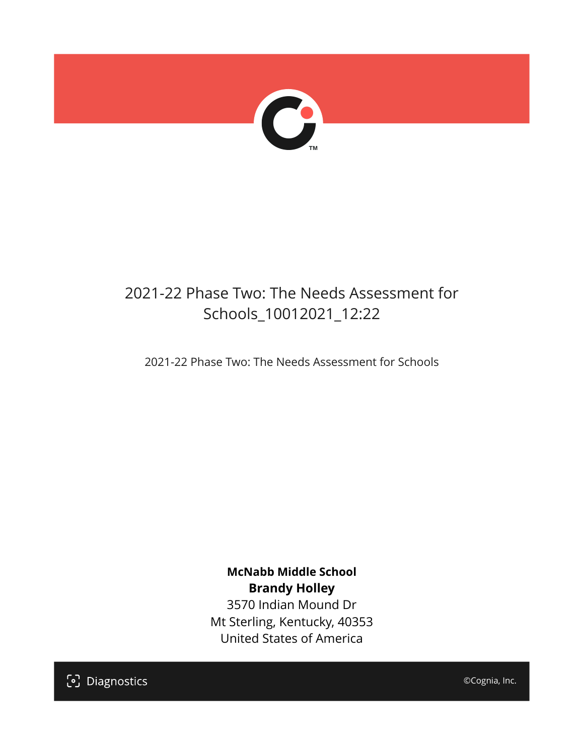

## 2021-22 Phase Two: The Needs Assessment for Schools\_10012021\_12:22

2021-22 Phase Two: The Needs Assessment for Schools

**McNabb Middle School Brandy Holley** 3570 Indian Mound Dr Mt Sterling, Kentucky, 40353 United States of America

[၁] Diagnostics

©Cognia, Inc.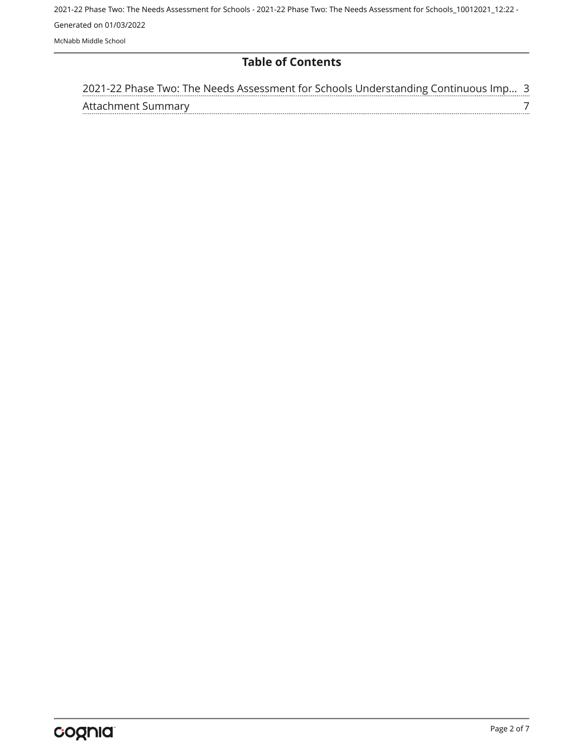2021-22 Phase Two: The Needs Assessment for Schools - 2021-22 Phase Two: The Needs Assessment for Schools\_10012021\_12:22 - Generated on 01/03/2022 McNabb Middle School

#### **Table of Contents**

| 2021-22 Phase Two: The Needs Assessment for Schools Understanding Continuous Imp 3 |  |
|------------------------------------------------------------------------------------|--|
| Attachment Summary                                                                 |  |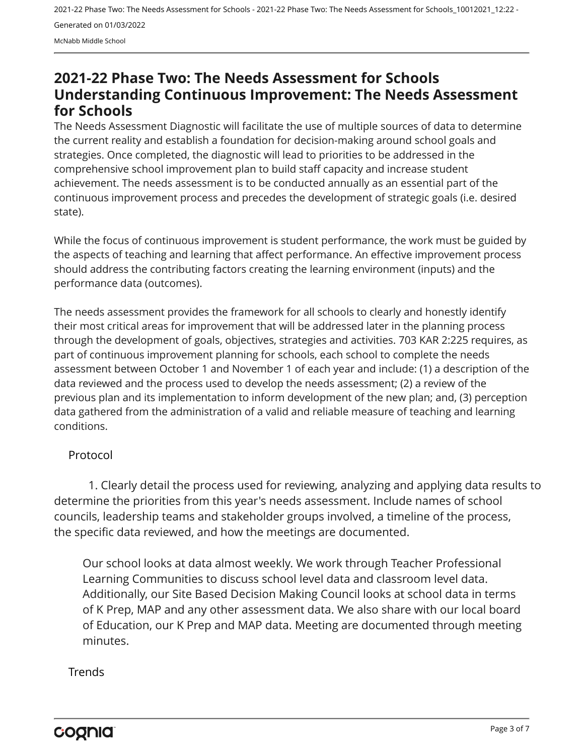2021-22 Phase Two: The Needs Assessment for Schools - 2021-22 Phase Two: The Needs Assessment for Schools\_10012021\_12:22 - Generated on 01/03/2022 McNabb Middle School

### <span id="page-2-0"></span>**2021-22 Phase Two: The Needs Assessment for Schools Understanding Continuous Improvement: The Needs Assessment for Schools**

The Needs Assessment Diagnostic will facilitate the use of multiple sources of data to determine the current reality and establish a foundation for decision-making around school goals and strategies. Once completed, the diagnostic will lead to priorities to be addressed in the comprehensive school improvement plan to build staff capacity and increase student achievement. The needs assessment is to be conducted annually as an essential part of the continuous improvement process and precedes the development of strategic goals (i.e. desired state).

While the focus of continuous improvement is student performance, the work must be guided by the aspects of teaching and learning that affect performance. An effective improvement process should address the contributing factors creating the learning environment (inputs) and the performance data (outcomes).

The needs assessment provides the framework for all schools to clearly and honestly identify their most critical areas for improvement that will be addressed later in the planning process through the development of goals, objectives, strategies and activities. 703 KAR 2:225 requires, as part of continuous improvement planning for schools, each school to complete the needs assessment between October 1 and November 1 of each year and include: (1) a description of the data reviewed and the process used to develop the needs assessment; (2) a review of the previous plan and its implementation to inform development of the new plan; and, (3) perception data gathered from the administration of a valid and reliable measure of teaching and learning conditions.

#### Protocol

1. Clearly detail the process used for reviewing, analyzing and applying data results to determine the priorities from this year's needs assessment. Include names of school councils, leadership teams and stakeholder groups involved, a timeline of the process, the specific data reviewed, and how the meetings are documented.

Our school looks at data almost weekly. We work through Teacher Professional Learning Communities to discuss school level data and classroom level data. Additionally, our Site Based Decision Making Council looks at school data in terms of K Prep, MAP and any other assessment data. We also share with our local board of Education, our K Prep and MAP data. Meeting are documented through meeting minutes.

#### **Trends**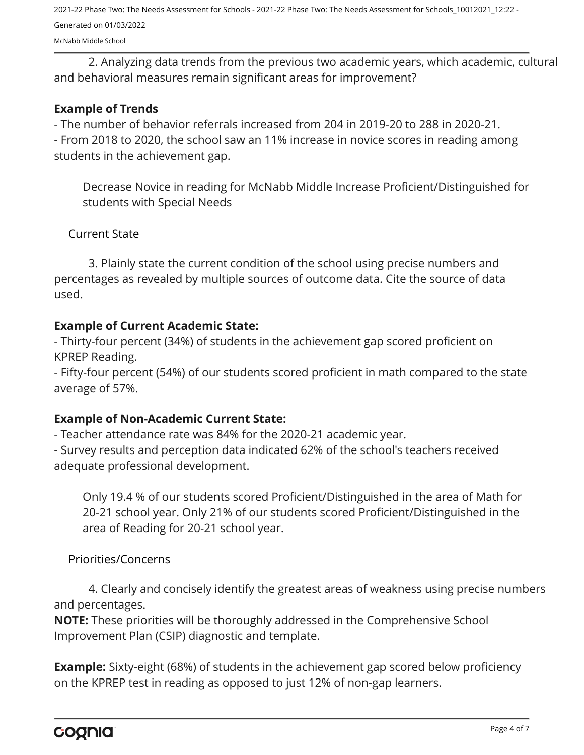2021-22 Phase Two: The Needs Assessment for Schools - 2021-22 Phase Two: The Needs Assessment for Schools\_10012021\_12:22 - Generated on 01/03/2022

McNabb Middle School

2. Analyzing data trends from the previous two academic years, which academic, cultural and behavioral measures remain significant areas for improvement?

#### **Example of Trends**

- The number of behavior referrals increased from 204 in 2019-20 to 288 in 2020-21.

- From 2018 to 2020, the school saw an 11% increase in novice scores in reading among students in the achievement gap.

Decrease Novice in reading for McNabb Middle Increase Proficient/Distinguished for students with Special Needs

#### Current State

3. Plainly state the current condition of the school using precise numbers and percentages as revealed by multiple sources of outcome data. Cite the source of data used.

#### **Example of Current Academic State:**

- Thirty-four percent (34%) of students in the achievement gap scored proficient on KPREP Reading.

- Fifty-four percent (54%) of our students scored proficient in math compared to the state average of 57%.

#### **Example of Non-Academic Current State:**

- Teacher attendance rate was 84% for the 2020-21 academic year.

- Survey results and perception data indicated 62% of the school's teachers received adequate professional development.

Only 19.4 % of our students scored Proficient/Distinguished in the area of Math for 20-21 school year. Only 21% of our students scored Proficient/Distinguished in the area of Reading for 20-21 school year.

Priorities/Concerns

4. Clearly and concisely identify the greatest areas of weakness using precise numbers and percentages.

**NOTE:** These priorities will be thoroughly addressed in the Comprehensive School Improvement Plan (CSIP) diagnostic and template.

**Example:** Sixty-eight (68%) of students in the achievement gap scored below proficiency on the KPREP test in reading as opposed to just 12% of non-gap learners.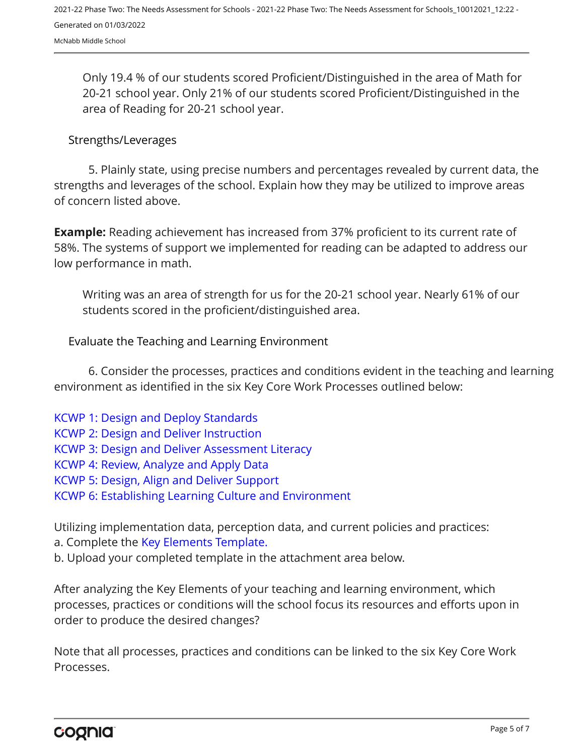Only 19.4 % of our students scored Proficient/Distinguished in the area of Math for 20-21 school year. Only 21% of our students scored Proficient/Distinguished in the area of Reading for 20-21 school year.

#### Strengths/Leverages

5. Plainly state, using precise numbers and percentages revealed by current data, the strengths and leverages of the school. Explain how they may be utilized to improve areas of concern listed above.

**Example:** Reading achievement has increased from 37% proficient to its current rate of 58%. The systems of support we implemented for reading can be adapted to address our low performance in math.

Writing was an area of strength for us for the 20-21 school year. Nearly 61% of our students scored in the proficient/distinguished area.

Evaluate the Teaching and Learning Environment

6. Consider the processes, practices and conditions evident in the teaching and learning environment as identified in the six Key Core Work Processes outlined below:

[KCWP 1: Design and Deploy Standards](https://education.ky.gov/school/csip/Documents/KCWP%201%20Strategic%20Design%20and%20Deploy%20Standards.pdf) [KCWP 2: Design and Deliver Instruction](https://education.ky.gov/school/csip/Documents/KCWP%202%20Strategic%20Design%20and%20Deliver%20Instruction.pdf) [KCWP 3: Design and Deliver Assessment Literacy](https://education.ky.gov/school/csip/Documents/KCWP%203%20Strategic%20Design%20and%20Deliver%20Assessment%20Literacy.pdf) [KCWP 4: Review, Analyze and Apply Data](https://education.ky.gov/school/csip/Documents/KCWP%204%20Strategic%20Review%20Analyze%20and%20Apply%20Data.pdf) [KCWP 5: Design, Align and Deliver Support](https://education.ky.gov/school/csip/Documents/KCWP%205%20Strategic%20Design%20Align%20Deliver%20Support%20Processes.pdf) [KCWP 6: Establishing Learning Culture and Environment](https://education.ky.gov/school/csip/Documents/KCWP%206%20Strategic%20Establish%20Learning%20Culture%20and%20Environment.pdf)

Utilizing implementation data, perception data, and current policies and practices:

a. Complete the [Key Elements Template.](https://education.ky.gov/school/csip/Documents/School%20Key%20Elements%20Template.docx)

b. Upload your completed template in the attachment area below.

After analyzing the Key Elements of your teaching and learning environment, which processes, practices or conditions will the school focus its resources and efforts upon in order to produce the desired changes?

Note that all processes, practices and conditions can be linked to the six Key Core Work Processes.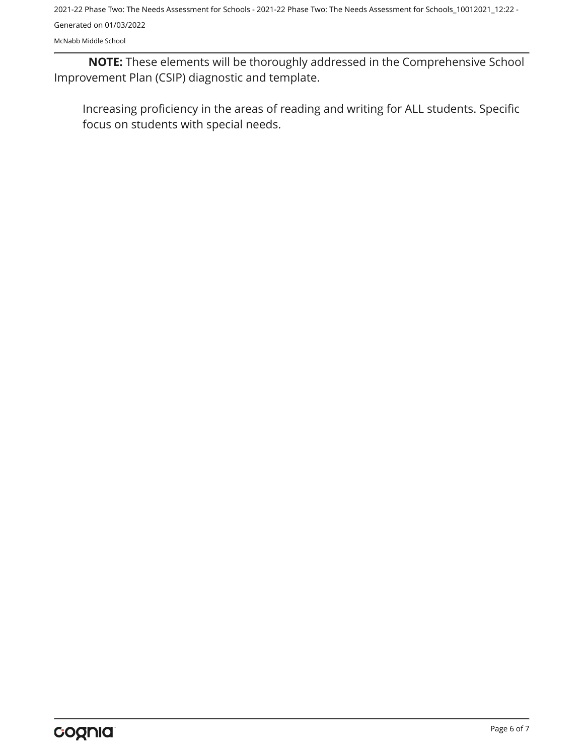2021-22 Phase Two: The Needs Assessment for Schools - 2021-22 Phase Two: The Needs Assessment for Schools\_10012021\_12:22 - Generated on 01/03/2022

McNabb Middle School

**NOTE:** These elements will be thoroughly addressed in the Comprehensive School Improvement Plan (CSIP) diagnostic and template.

Increasing proficiency in the areas of reading and writing for ALL students. Specific focus on students with special needs.